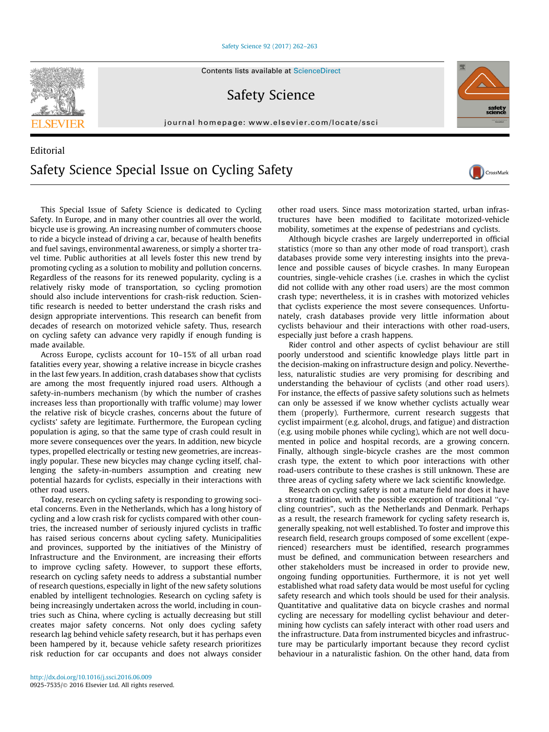## [Safety Science 92 \(2017\) 262–263](http://dx.doi.org/10.1016/j.ssci.2016.06.009)



Safety Science

journal homepage: www.el[sevier.com/locate/ssci](http://www.elsevier.com/locate/ssci)

## Editorial Safety Science Special Issue on Cycling Safety

This Special Issue of Safety Science is dedicated to Cycling Safety. In Europe, and in many other countries all over the world, bicycle use is growing. An increasing number of commuters choose to ride a bicycle instead of driving a car, because of health benefits and fuel savings, environmental awareness, or simply a shorter travel time. Public authorities at all levels foster this new trend by promoting cycling as a solution to mobility and pollution concerns. Regardless of the reasons for its renewed popularity, cycling is a relatively risky mode of transportation, so cycling promotion should also include interventions for crash-risk reduction. Scientific research is needed to better understand the crash risks and design appropriate interventions. This research can benefit from decades of research on motorized vehicle safety. Thus, research on cycling safety can advance very rapidly if enough funding is made available.

Across Europe, cyclists account for 10–15% of all urban road fatalities every year, showing a relative increase in bicycle crashes in the last few years. In addition, crash databases show that cyclists are among the most frequently injured road users. Although a safety-in-numbers mechanism (by which the number of crashes increases less than proportionally with traffic volume) may lower the relative risk of bicycle crashes, concerns about the future of cyclists' safety are legitimate. Furthermore, the European cycling population is aging, so that the same type of crash could result in more severe consequences over the years. In addition, new bicycle types, propelled electrically or testing new geometries, are increasingly popular. These new bicycles may change cycling itself, challenging the safety-in-numbers assumption and creating new potential hazards for cyclists, especially in their interactions with other road users.

Today, research on cycling safety is responding to growing societal concerns. Even in the Netherlands, which has a long history of cycling and a low crash risk for cyclists compared with other countries, the increased number of seriously injured cyclists in traffic has raised serious concerns about cycling safety. Municipalities and provinces, supported by the initiatives of the Ministry of Infrastructure and the Environment, are increasing their efforts to improve cycling safety. However, to support these efforts, research on cycling safety needs to address a substantial number of research questions, especially in light of the new safety solutions enabled by intelligent technologies. Research on cycling safety is being increasingly undertaken across the world, including in countries such as China, where cycling is actually decreasing but still creates major safety concerns. Not only does cycling safety research lag behind vehicle safety research, but it has perhaps even been hampered by it, because vehicle safety research prioritizes risk reduction for car occupants and does not always consider other road users. Since mass motorization started, urban infrastructures have been modified to facilitate motorized-vehicle mobility, sometimes at the expense of pedestrians and cyclists.

Although bicycle crashes are largely underreported in official statistics (more so than any other mode of road transport), crash databases provide some very interesting insights into the prevalence and possible causes of bicycle crashes. In many European countries, single-vehicle crashes (i.e. crashes in which the cyclist did not collide with any other road users) are the most common crash type; nevertheless, it is in crashes with motorized vehicles that cyclists experience the most severe consequences. Unfortunately, crash databases provide very little information about cyclists behaviour and their interactions with other road-users, especially just before a crash happens.

Rider control and other aspects of cyclist behaviour are still poorly understood and scientific knowledge plays little part in the decision-making on infrastructure design and policy. Nevertheless, naturalistic studies are very promising for describing and understanding the behaviour of cyclists (and other road users). For instance, the effects of passive safety solutions such as helmets can only be assessed if we know whether cyclists actually wear them (properly). Furthermore, current research suggests that cyclist impairment (e.g. alcohol, drugs, and fatigue) and distraction (e.g. using mobile phones while cycling), which are not well documented in police and hospital records, are a growing concern. Finally, although single-bicycle crashes are the most common crash type, the extent to which poor interactions with other road-users contribute to these crashes is still unknown. These are three areas of cycling safety where we lack scientific knowledge.

Research on cycling safety is not a mature field nor does it have a strong tradition, with the possible exception of traditional ''cycling countries", such as the Netherlands and Denmark. Perhaps as a result, the research framework for cycling safety research is, generally speaking, not well established. To foster and improve this research field, research groups composed of some excellent (experienced) researchers must be identified, research programmes must be defined, and communication between researchers and other stakeholders must be increased in order to provide new, ongoing funding opportunities. Furthermore, it is not yet well established what road safety data would be most useful for cycling safety research and which tools should be used for their analysis. Quantitative and qualitative data on bicycle crashes and normal cycling are necessary for modelling cyclist behaviour and determining how cyclists can safely interact with other road users and the infrastructure. Data from instrumented bicycles and infrastructure may be particularly important because they record cyclist behaviour in a naturalistic fashion. On the other hand, data from